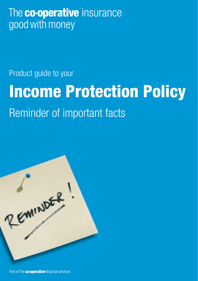## The **co-operative** insurance good with money

Product guide to your

# Income Protection Policy

## Reminder of important facts



Part of The co-operative financial services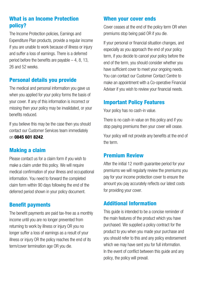#### What is an Income Protection policy?

The Income Protection policies, Earnings and Expenditure Plan products, provide a regular income if you are unable to work because of illness or injury and suffer a loss of earnings. There is a deferred period before the benefits are payable  $-4$ , 8, 13, 26 and 52 weeks.

#### Personal details you provide

The medical and personal information you gave us when you applied for your policy forms the basis of your cover. If any of this information is incorrect or missing then your policy may be invalidated, or your benefits reduced.

If you believe this may be the case then you should contact our Customer Services team immediately on 0845 601 8242.

#### Making a claim

Please contact us for a claim form if you wish to make a claim under this policy. We will require medical confirmation of your illness and occupational information. You need to forward the completed claim form within 90 days following the end of the deferred period shown in your policy document.

#### Benefit payments

The benefit payments are paid tax-free as a monthly income until you are no longer prevented from returning to work by illness or injury OR you no longer suffer a loss of earnings as a result of your illness or injury OR the policy reaches the end of its term/cover termination age OR you die.

#### When your cover ends

Cover ceases at the end of the policy term OR when premiums stop being paid OR if you die.

If your personal or financial situation changes, and especially as you approach the end of your policy term, if you decide to cancel your policy before the end of the term, you should consider whether you have sufficient cover to meet your ongoing needs. You can contact our Customer Contact Centre to make an appointment with a Co-operative Financial Adviser if you wish to review your financial needs.

#### Important Policy Features

Your policy has no cash-in value.

There is no cash-in value on this policy and if you stop paying premiums then your cover will cease.

Your policy will not provide any benefits at the end of the term.

#### Premium Review

After the initial 12 month guarantee period for your premiums we will regularly review the premiums you pay for your income protection cover to ensure the amount you pay accurately reflects our latest costs for providing your cover.

#### Additional Information

This guide is intended to be a concise reminder of the main features of the product which you have purchased. We supplied a policy contract for the product to you when you made your purchase and you should refer to this and any policy endorsement which we may have sent you for full information. In the event of conflict between this guide and any policy, the policy will prevail.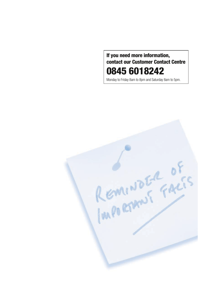#### If you need more information, contact our Customer Contact Centre 0845 6018242

Monday to Friday 8am to 8pm and Saturday 8am to 5pm.